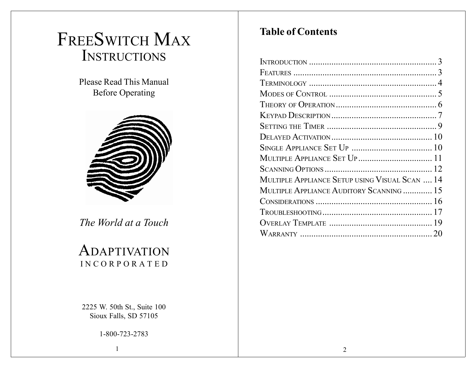# FREESWITCH MAX INSTRUCTIONS

Please Read This ManualBefore Operating



*The World at <sup>a</sup> Touch*

# ADAPTIVATIONINCORPORATED

2225 W. 50th St., Suite 100 Sioux Falls, SD 57105

1-800-723-2783

# **Table of Contents**

| MULTIPLE APPLIANCE SET UP 11                   |  |
|------------------------------------------------|--|
|                                                |  |
| MULTIPLE APPLIANCE SETUP USING VISUAL SCAN  14 |  |
| MULTIPLE APPLIANCE AUDITORY SCANNING  15       |  |
|                                                |  |
|                                                |  |
|                                                |  |
|                                                |  |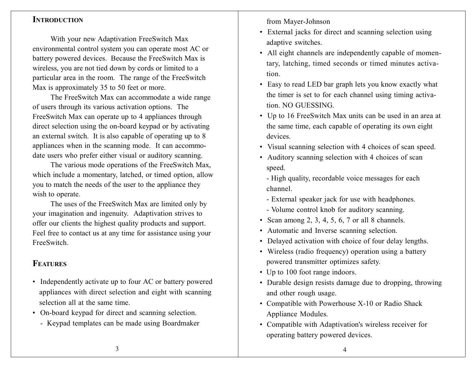#### **INTRODUCTION**

With your new Adaptivation FreeSwitch Max environmental control system you can operate most AC or battery powered devices. Because the FreeSwitch Max is wireless, you are not tied down by cords or limited to <sup>a</sup> particular area in the room. The range of the FreeSwitch Max is approximately 35 to 50 feet or more.

The FreeSwitch Max can accommodate <sup>a</sup> wide range of users through its various activation options. The FreeSwitch Max can operate up to 4 appliances through direct selection using the on-board keypad or by activating an external switch. It is also capable of operating up to 8 appliances when in the scanning mode. It can accommodate users who prefer either visual or auditory scanning.

The various mode operations of the FreeSwitch Max, which include <sup>a</sup> momentary, latched, or timed option, allow you to match the needs of the user to the appliance they wish to operate.

The uses of the FreeSwitch Max are limited only by your imagination and ingenuity. Adaptivation strives to offer our clients the highest quality products and support. Feel free to contact us at any time for assistance using your FreeSwitch.

# **FEATURES**

- Independently activate up to four AC or battery powered appliances with direct selection and eight with scanning selection all at the same time.
- On-board keypad for direct and scanning selection.
	- Keypad templates can be made using Boardmaker

from Mayer-Johnson

- External jacks for direct and scanning selection using adaptive switches.
- All eight channels are independently capable of momentary, latching, timed seconds or timed minutes activation.
- Easy to read LED bar graph lets you know exactly what the timer is set to for each channel using timing activation. NO GUESSING.
- Up to 16 FreeSwitch Max units can be used in an area at the same time, each capable of operating its own eight devices.
- Visual scanning selection with 4 choices of scan speed.
- Auditory scanning selection with 4 choices of scan speed.
	- High quality, recordable voice messages for each channel.
	- External speaker jack for use with headphones.
	- Volume control knob for auditory scanning.
- Scan among 2, 3, 4, 5, 6, 7 or all 8 channels.
- Automatic and Inverse scanning selection.
- Delayed activation with choice of four delay lengths.
- Wireless (radio frequency) operation using <sup>a</sup> battery powered transmitter optimizes safety.
- Up to 100 foot range indoors.
- Durable design resists damage due to dropping, throwing and other rough usage.
- Compatible with Powerhouse X-10 or Radio Shack Appliance Modules.
- Compatible with Adaptivation's wireless receiver for operating battery powered devices.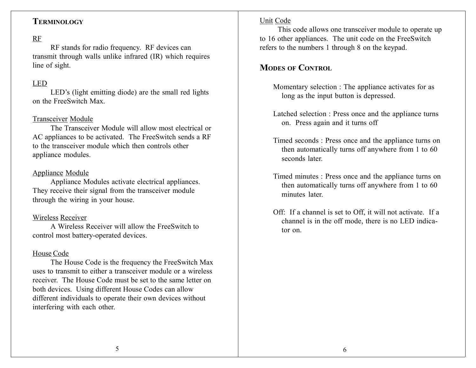## **TERMINOLOGY**

## RF

RF stands for radio frequency. RF devices can transmit through walls unlike infrared (IR) which requires line of sight.

## LED

LED's (light emitting diode) are the small red lights on the FreeSwitch Max.

#### Transceiver Module

The Transceiver Module will allow most electrical orAC appliances to be activated. The FreeSwitch sends <sup>a</sup> RF to the transceiver module which then controls otherappliance modules.

#### Appliance Module

Appliance Modules activate electrical appliances. They receive their signal from the transceiver module through the wiring in your house.

#### Wireless Receiver

A Wireless Receiver will allow the FreeSwitch tocontrol most battery-operated devices.

#### House Code

The House Code is the frequency the FreeSwitch Max uses to transmit to either <sup>a</sup> transceiver module or <sup>a</sup> wirelessreceiver. The House Code must be set to the same letter onboth devices. Using different House Codes can allow different individuals to operate their own devices without interfering with each other.

#### Unit Code

This code allows one transceiver module to operate up to 16 other appliances. The unit code on the FreeSwitch refers to the numbers 1 through 8 on the keypad.

# **MODES OF CONTROL**

- Momentary selection : The appliance activates for as long as the input button is depressed.
- Latched selection : Press once and the appliance turns on. Press again and it turns off
- Timed seconds : Press once and the appliance turns on then automatically turns off anywhere from 1 to 60 seconds later.
- Timed minutes : Press once and the appliance turns on then automatically turns off anywhere from 1 to 60 minutes later
- Off: If <sup>a</sup> channel is set to Off, it will not activate. If <sup>a</sup> channel is in the off mode, there is no LED indicator on.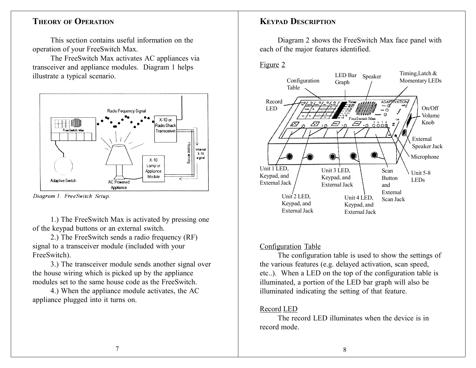#### **THEORY OF OPERATION**

This section contains useful information on theoperation of your FreeSwitch Max.

The FreeSwitch Max activates AC appliances via transceiver and appliance modules. Diagram 1 helps illustrate <sup>a</sup> typical scenario.



Diagram 1. FreeSwitch Setup.

1.) The FreeSwitch Max is activated by pressing one of the keypad buttons or an external switch.

2.) The FreeSwitch sends <sup>a</sup> radio frequency (RF) signal to <sup>a</sup> transceiver module (included with your FreeSwitch).

3.) The transceiver module sends another signal over the house wiring which is picked up by the appliance modules set to the same house code as the FreeSwitch.

4.) When the appliance module activates, the AC appliance plugged into it turns on.

## **KEYPAD DESCRIPTION**

Diagram 2 shows the FreeSwitch Max face panel with each of the major features identified.

#### Figure 2



#### Configuration Table

The configuration table is used to show the settings of the various features (e.g. delayed activation, scan speed, etc..). When <sup>a</sup> LED on the top of the configuration table is illuminated, <sup>a</sup> portion of the LED bar graph will also be illuminated indicating the setting of that feature.

#### Record LED

The record LED illuminates when the device is in record mode.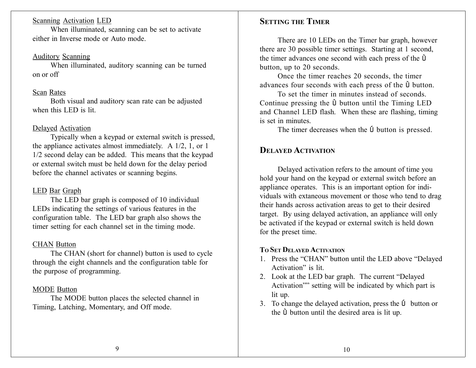#### **Scanning Activation LED**

When illuminated, scanning can be set to activate either in Inverse mode or Auto mode.

#### <u>Auditory Scanning</u>

When illuminated, auditory scanning can be turned on or off

#### <u>Scan</u> Rates

Both visual and auditory scan rate can be adjusted when this LED is lit.

#### <u>Delayed Activation</u>

Typically when <sup>a</sup> keypad or external switch is pressed, the appliance activates almost immediately. A 1/2, 1, or 1 1/2 second delay can be added. This means that the keypad or external switch must be held down for the delay period before the channel activates or scanning begins.

#### <u>LED Bar Graph</u>

The LED bar graph is composed of 10 individual LEDs indicating the settings of various features in the configuration table. The LED bar graph also shows the timer setting for each channel set in the timing mode.

#### CHAN Button

The CHAN (short for channel) button is used to cycle through the eight channels and the configuration table for the purpose of programming.

#### MODE Butto n

The MODE button places the selected channel in Timing, Latching, Momentary, and Off mode.

## **SETTING THETIMER**

There are 10 LEDs on the Timer bar graph, however there are 30 possible timer settings. Starting at 1 second, the timer advances one second with each press of the Ù button, up to 20 seconds.

Once the timer reaches 20 seconds, the timer advances four seconds with each press of the Ù button.

To set the timer in minutes instead of seconds.Continue pressing the Ù button until the Timing LED and Channel LED flash. When these are flashing, timing is set in minutes.

The timer decreases when the Ú button is pressed.

## **DELAYEDACTIVATION**

Delayed activation refers to the amount of time you hold your hand on the keypad or external switch before an appliance operates. This is an important option for individuals with extaneous movement or those who tend to drag their hands across activation areas to ge<sup>t</sup> to their desired target. By using delayed activation, an appliance will only be activated if the keypad or external switch is held down for the prese<sup>t</sup> time.

#### **TOSETDELAYEDACTIVATION**

- 1. Press the "CHAN" button until the LED above "Delayed Activation" is lit.
- 2. Look at the LED bar graph. The current "Delayed Activation"" setting will be indicated by which par<sup>t</sup> is lit up.
- 3. To change the delayed activation, press the Ú button or the Ù button until the desired area is lit up.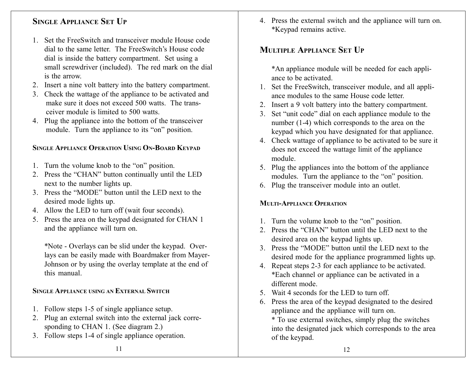# **SINGLEAPPLIANCESETUP**

- 1. Set the FreeSwitch and transceiver module House codedial to the same letter. The FreeSwitch's House codedial is inside the battery compartment. Set using <sup>a</sup> small screwdriver (included). The red mark on the dial is the arrow.
- 2. Insert <sup>a</sup> nine volt battery into the battery compartment.
- 3. Check the wattage of the appliance to be activated and make sure it does not exceed 500 watts. The transceiver module is limited to 500 watts.
- 4. Plug the appliance into the bottom of the transceiver module. Turn the appliance to its "on" position.

## **SINGLEAPPLIANCEOPERATIONUSINGON-BOARDKEYPAD**

- 1. Turn the volume knob to the "on" position.
- 2. Press the "CHAN" button continually until the LED next to the number lights up.
- 3. Press the "MODE" button until the LED next to thedesired mode lights up.
- 4. Allow the LED to turn off (wait four seconds).
- 5. Press the area on the keypad designated for CHAN 1 and the appliance will turn on.

\*Note - Overlays can be slid under the keypad. Overlays can be easily made with Boardmaker from Mayer-Johnson or by using the overlay template at the end of this manual.

## **SINGLEAPPLIANCE USING ANEXTERNALSWITCH**

- 1. Follow steps 1-5 of single appliance setup.
- 2. Plug an external switch into the external jack corresponding to CHAN 1. (See diagram 2.)
- 3. Follow steps 1-4 of single appliance operation.

4. Press the external switch and the appliance will turn on. \*Keypad remains active.

# **MULTIPLEAPPLIANCESETUP**

\*An appliance module will be needed for each appliance to be activated.

- 1. Set the FreeSwitch, transceiver module, and all appliance modules to the same House code letter.
- 2. Insert <sup>a</sup> 9 volt battery into the battery compartment.
- 3. Set "unit code" dial on each appliance module to the number (1-4) which corresponds to the area on the keypad which you have designated for that appliance.
- 4. Check wattage of appliance to be activated to be sure it does not exceed the wattage limit of the appliance module.
- 5. Plug the appliances into the bottom of the appliance modules. Turn the appliance to the "on" position.
- 6. Plug the transceiver module into an outlet.

## **MULTI-APPLIANCEOPERATION**

- 1. Turn the volume knob to the "on" position.
- 2. Press the "CHAN" button until the LED next to the desired area on the keypad lights up.
- 3. Press the "MODE" button until the LED next to thedesired mode for the appliance programmed lights up.
- 4. Repeat steps 2-3 for each appliance to be activated. \*Each channel or appliance can be activated in <sup>a</sup> different mode.
- 5. Wait 4 seconds for the LED to turn off.
- 6. Press the area of the keypad designated to the desired appliance and the appliance will turn on.

\* To use external switches, simply plug the switches into the designated jack which corresponds to the area of the keypad.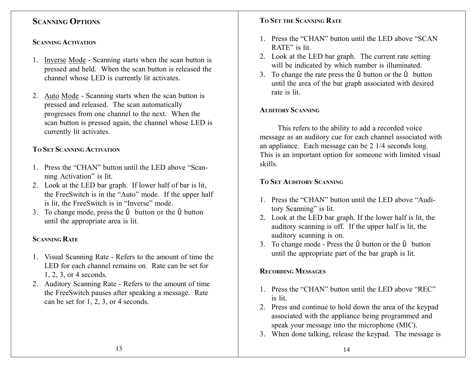# **SCANNINGOPTIONS**

#### **SCANNINGACTIVATION**

- 1. Inverse Mode Scanning starts when the scan button is pressed and held. When the scan button is released the channel whose LED is currently lit activates.
- 2. Auto Mode Scanning starts when the scan button is pressed and released. The scan automatically progresses from one channel to the next. When the scan button is pressed again, the channel whose LED is currently lit activates.

## **TOSETSCANNINGACTIVATION**

- 1. Press the "CHAN" button until the LED above "Scanning Activation" is lit.
- 2. Look at the LED bar graph. If lower half of bar is lit, the FreeSwitch is in the "Auto" mode. If the upper half is lit, the FreeSwitch is in "Inverse" mode.
- 3. To change mode, press the Ú button or the Ù button until the appropriate area is lit.

## **SCANNINGRATE**

- 1. Visual Scanning Rate Refers to the amount of time the LED for each channel remains on. Rate can be set for1, 2, 3, or 4 seconds.
- 2. Auditory Scanning Rate Refers to the amount of time the FreeSwitch pauses after speaking <sup>a</sup> message. Rate can be set for 1, 2, 3, or 4 seconds.

## **TOSET THESCANNINGRATE**

- 1. Press the "CHAN" button until the LED above "SCANRATE" is lit.
- 2. Look at the LED bar graph. The current rate setting will be indicated by which number is illuminated.
- 3. To change the rate press the Ù button or the Ú button until the area of the bar graph associated with desired rate is lit.

## **AUDITORYSCANNING**

This refers to the ability to add <sup>a</sup> recorded voice message as an auditory cue for each channel associated with an appliance. Each message can be 2 1/4 seconds long. This is an important option for someone with limited visual skills.

## **TOSETAUDITORYSCANNING**

- 1. Press the "CHAN" button until the LED above "Auditory Scanning" is lit.
- 2. Look at the LED bar graph. If the lower half is lit, the auditory scanning is off. If the upper half is lit, the auditory scanning is on.
- 3. To change mode Press the Ù button or the Ú button until the appropriate par<sup>t</sup> of the bar graph is lit.

## **RECORDINGMESSAGES**

- 1. Press the "CHAN" button until the LED above "REC" is lit.
- 2. Press and continue to hold down the area of the keypad associated with the appliance being programmed and speak your message into the microphone (MIC).
- 3. When done talking, release the keypad. The message is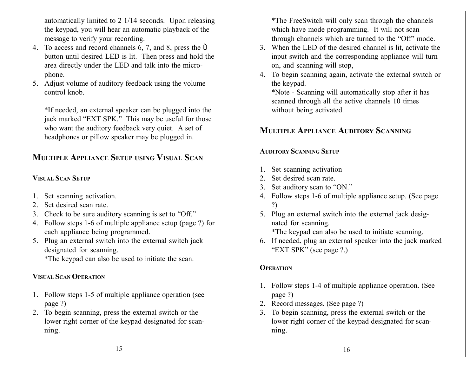automatically limited to 2 1/14 seconds. Upon releasing the keypad, you will hear an automatic playback of the message to verify your recording.

- 4. To access and record channels 6, 7, and 8, press the Ù button until desired LED is lit. Then press and hold the area directly under the LED and talk into the microphone.
- 5. Adjust volume of auditory feedback using the volume control knob.

\*If needed, an external speaker can be plugged into the jack marked "EXT SPK." This may be useful for those who want the auditory feedback very quiet. A set of headphones or pillow speaker may be plugged in.

# **MULTIPLE APPLIANCE SETUP USING VISUAL SCAN**

#### **VISUAL SCAN SETUP**

- 1. Set scanning activation.
- 2. Set desired scan rate.
- 3. Check to be sure auditory scanning is set to "Off."
- 4. Follow steps 1-6 of multiple appliance setup (page ?) for each appliance being programmed.
- 5. Plug an external switch into the external switch jack designated for scanning. \*The keypad can also be used to initiate the scan.

# **VISUAL SCAN OPERATION**

- 1. Follow steps 1-5 of multiple appliance operation (see page ?)
- 2. To begin scanning, press the external switch or the lower right corner of the keypad designated for scanning.

\*The FreeSwitch will only scan through the channels which have mode programming. It will not scan through channels which are turned to the "Off" mode.

- 3. When the LED of the desired channel is lit, activate the input switch and the corresponding appliance will turn on, and scanning will stop,
- 4. To begin scanning again, activate the external switch or the keypad.

\*Note - Scanning will automatically stop after it has scanned through all the active channels 10 times without being activated.

# **MULTIPLE APPLIANCE AUDITORY SCANNING**

#### **AUDITORY SCANNING SETUP**

- 1. Set scanning activation
- 2. Set desired scan rate.
- 3. Set auditory scan to "ON."
- 4. Follow steps 1-6 of multiple appliance setup. (See page ?)
- 5. Plug an external switch into the external jack designated for scanning.

\*The keypad can also be used to initiate scanning.

6. If needed, plug an external speaker into the jack marked "EXT SPK" (see page ?.)

## **OPERATION**

- 1. Follow steps 1-4 of multiple appliance operation. (See page ?)
- 2. Record messages. (See page ?)
- 3. To begin scanning, press the external switch or the lower right corner of the keypad designated for scanning.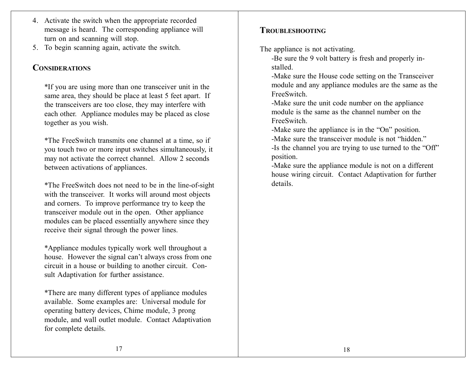- 4. Activate the switch when the appropriate recorded message is heard. The corresponding appliance will turn on and scanning will stop.
- 5. To begin scanning again, activate the switch.

# **CONSIDERATIONS**

\*If you are using more than one transceiver unit in the same area, they should be place at least 5 feet apart. If the transceivers are too close, they may interfere with each other. Appliance modules may be placed as close together as you wish.

\*The FreeSwitch transmits one channel at <sup>a</sup> time, so if you touch two or more input switches simultaneously, it may not activate the correct channel. Allow 2 seconds between activations of appliances.

\*The FreeSwitch does not need to be in the line-of-sight with the transceiver. It works will around most objects and corners. To improve performance try to keep the transceiver module out in the open. Other appliance modules can be placed essentially anywhere since they receive their signal through the power lines.

\*Appliance modules typically work well throughout <sup>a</sup> house. However the signal can't always cross from one circuit in <sup>a</sup> house or building to another circuit. Consult Adaptivation for further assistance.

\*There are many different types of appliance modules available. Some examples are: Universal module for operating battery devices, Chime module, 3 prong module, and wall outlet module. Contact Adaptivation for complete details.

## **TROUBLESHOOTING**

The appliance is not activating.

-Be sure the 9 volt battery is fresh and properly installed.

-Make sure the House code setting on the Transceiver module and any appliance modules are the same as the FreeSwitch.

-Make sure the unit code number on the appliance module is the same as the channel number on theFreeSwitch.

-Make sure the appliance is in the "On" position.

-Make sure the transceiver module is not "hidden."

-Is the channel you are trying to use turned to the "Off" position.

-Make sure the appliance module is not on <sup>a</sup> different house wiring circuit. Contact Adaptivation for further details.